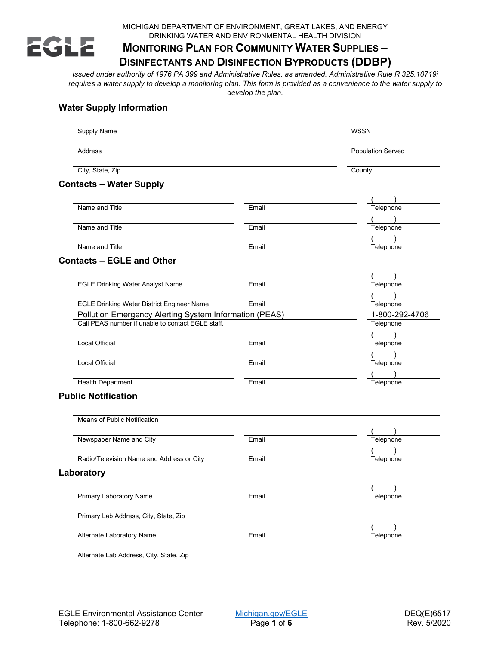

MICHIGAN DEPARTMENT OF ENVIRONMENT, GREAT LAKES, AND ENERGY DRINKING WATER AND ENVIRONMENTAL HEALTH DIVISION

# **MONITORING PLAN FOR COMMUNITY WATER SUPPLIES –**

## **DISINFECTANTS AND DISINFECTION BYPRODUCTS (DDBP)**

*Issued under authority of 1976 PA 399 and Administrative Rules, as amended. Administrative Rule R 325.10719i requires a water supply to develop a monitoring plan. This form is provided as a convenience to the water supply to develop the plan.*

## **Water Supply Information**

| <b>Supply Name</b>                                     |       | <b>WSSN</b>                        |  |
|--------------------------------------------------------|-------|------------------------------------|--|
| <b>Address</b><br>City, State, Zip                     |       | <b>Population Served</b><br>County |  |
|                                                        |       |                                    |  |
| Name and Title                                         | Email | Telephone                          |  |
|                                                        |       |                                    |  |
| Name and Title                                         | Email | Telephone                          |  |
| Name and Title                                         | Email | Telephone                          |  |
| <b>Contacts - EGLE and Other</b>                       |       |                                    |  |
| <b>EGLE Drinking Water Analyst Name</b>                | Email | Telephone                          |  |
|                                                        |       |                                    |  |
| <b>EGLE Drinking Water District Engineer Name</b>      | Email | Telephone                          |  |
| Pollution Emergency Alerting System Information (PEAS) |       | 1-800-292-4706                     |  |
| Call PEAS number if unable to contact EGLE staff.      |       | Telephone                          |  |
|                                                        |       |                                    |  |
| Local Official                                         | Email | Telephone                          |  |
|                                                        |       |                                    |  |
| <b>Local Official</b>                                  | Email | Telephone                          |  |
|                                                        |       |                                    |  |
| <b>Health Department</b>                               | Email | Telephone                          |  |
| <b>Public Notification</b>                             |       |                                    |  |
|                                                        |       |                                    |  |
| Means of Public Notification                           |       |                                    |  |
|                                                        |       |                                    |  |
| Newspaper Name and City                                | Email | Telephone                          |  |
| Radio/Television Name and Address or City              | Email | Telephone                          |  |
| Laboratory                                             |       |                                    |  |
|                                                        |       |                                    |  |
| <b>Primary Laboratory Name</b>                         | Email | Telephone                          |  |
| Primary Lab Address, City, State, Zip                  |       |                                    |  |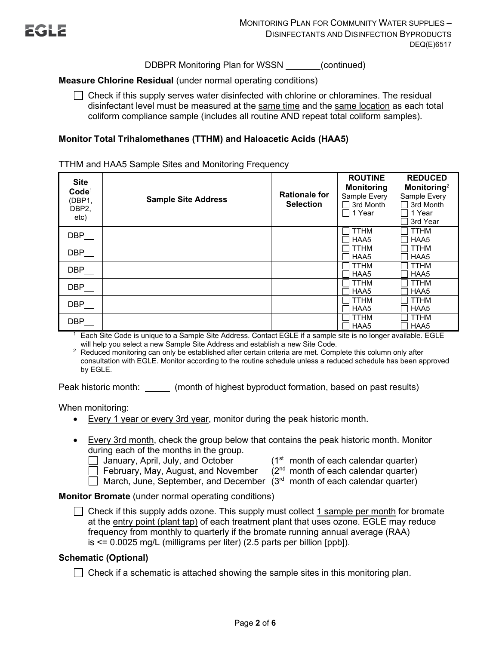DDBPR Monitoring Plan for WSSN (continued)

## **Measure Chlorine Residual** (under normal operating conditions)

 $\Box$  Check if this supply serves water disinfected with chlorine or chloramines. The residual disinfectant level must be measured at the same time and the same location as each total coliform compliance sample (includes all routine AND repeat total coliform samples).

## **Monitor Total Trihalomethanes (TTHM) and Haloacetic Acids (HAA5)**

TTHM and HAA5 Sample Sites and Monitoring Frequency

| <b>Site</b><br>Code <sup>1</sup><br>(DBP1,<br>DBP <sub>2</sub><br>etc) | <b>Sample Site Address</b> | <b>Rationale for</b><br><b>Selection</b> | <b>ROUTINE</b><br><b>Monitoring</b><br>Sample Every<br>3rd Month<br>1 Year | <b>REDUCED</b><br>Monitoring <sup>2</sup><br>Sample Every<br>$\Box$ 3rd Month<br>l 1 Year<br>3rd Year |
|------------------------------------------------------------------------|----------------------------|------------------------------------------|----------------------------------------------------------------------------|-------------------------------------------------------------------------------------------------------|
| DBP                                                                    |                            |                                          | <b>TTHM</b><br>HAA5                                                        | <b>TTHM</b><br>HAA5                                                                                   |
| DBP                                                                    |                            |                                          | <b>TTHM</b><br>HAA5                                                        | <b>TTHM</b><br>HAA5                                                                                   |
| DBP                                                                    |                            |                                          | <b>TTHM</b><br>HAA5                                                        | <b>TTHM</b><br>HAA5                                                                                   |
| DBP                                                                    |                            |                                          | <b>TTHM</b><br>HAA5                                                        | <b>TTHM</b><br>HAA5                                                                                   |
| DBP                                                                    |                            |                                          | <b>TTHM</b><br>HAA5                                                        | <b>TTHM</b><br>HAA5                                                                                   |
| DBP                                                                    |                            |                                          | <b>TTHM</b><br>HAA5                                                        | <b>TTHM</b><br>HAA5                                                                                   |

<sup>1</sup> Each Site Code is unique to a Sample Site Address. Contact EGLE if a sample site is no longer available. EGLE will help you select a new Sample Site Address and establish a new Site Code.

<sup>2</sup> Reduced monitoring can only be established after certain criteria are met. Complete this column only after consultation with EGLE. Monitor according to the routine schedule unless a reduced schedule has been approved by EGLE.

Peak historic month: \_\_\_\_\_\_\_ (month of highest byproduct formation, based on past results)

When monitoring:

- Every 1 year or every 3rd year, monitor during the peak historic month.
- Every 3rd month, check the group below that contains the peak historic month. Monitor during each of the months in the group.

January, April, July, and October  $(1<sup>st</sup>$  month of each calendar quarter)

February, May, August, and November  $(2<sup>nd</sup>$  month of each calendar quarter)

March, June, September, and December  $(3<sup>rd</sup>$  month of each calendar quarter)

**Monitor Bromate** (under normal operating conditions)

 $\Box$  Check if this supply adds ozone. This supply must collect 1 sample per month for bromate at the entry point (plant tap) of each treatment plant that uses ozone. EGLE may reduce frequency from monthly to quarterly if the bromate running annual average (RAA) is <= 0.0025 mg/L (milligrams per liter) (2.5 parts per billion [ppb]).

## **Schematic (Optional)**

 $\Box$  Check if a schematic is attached showing the sample sites in this monitoring plan.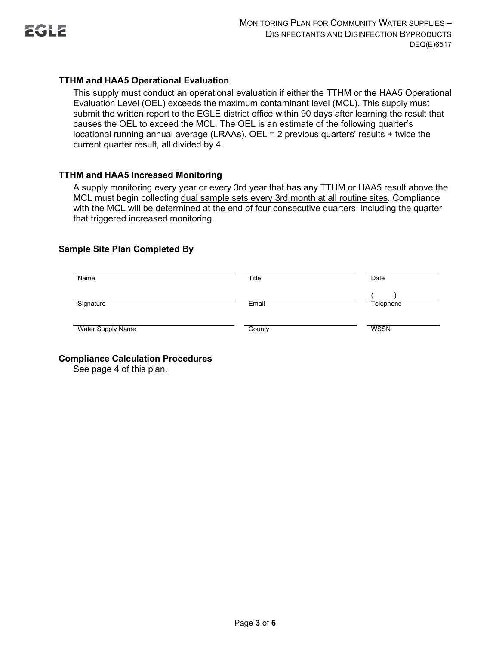

## **TTHM and HAA5 Operational Evaluation**

This supply must conduct an operational evaluation if either the TTHM or the HAA5 Operational Evaluation Level (OEL) exceeds the maximum contaminant level (MCL). This supply must submit the written report to the EGLE district office within 90 days after learning the result that causes the OEL to exceed the MCL. The OEL is an estimate of the following quarter's locational running annual average (LRAAs). OEL = 2 previous quarters' results + twice the current quarter result, all divided by 4.

## **TTHM and HAA5 Increased Monitoring**

A supply monitoring every year or every 3rd year that has any TTHM or HAA5 result above the MCL must begin collecting dual sample sets every 3rd month at all routine sites. Compliance with the MCL will be determined at the end of four consecutive quarters, including the quarter that triggered increased monitoring.

## **Sample Site Plan Completed By**

| Name              | Title  | Date        |
|-------------------|--------|-------------|
| Signature         | Email  | Telephone   |
| Water Supply Name | County | <b>WSSN</b> |

**Compliance Calculation Procedures**

See page 4 of this plan.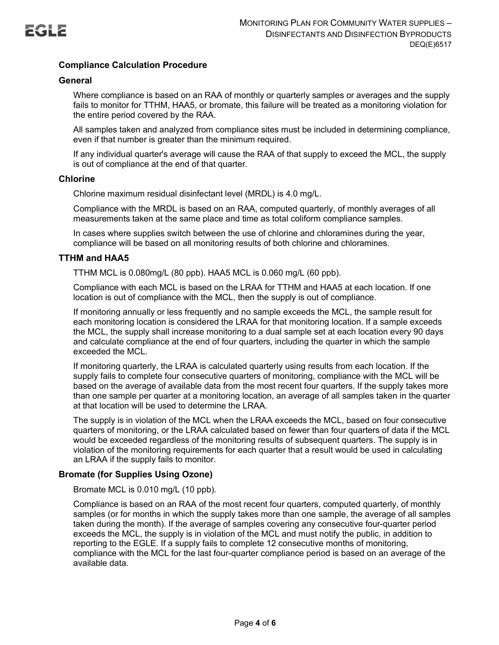

## **Compliance Calculation Procedure**

#### **General**

Where compliance is based on an RAA of monthly or quarterly samples or averages and the supply fails to monitor for TTHM, HAA5, or bromate, this failure will be treated as a monitoring violation for the entire period covered by the RAA.

All samples taken and analyzed from compliance sites must be included in determining compliance, even if that number is greater than the minimum required.

If any individual quarter's average will cause the RAA of that supply to exceed the MCL, the supply is out of compliance at the end of that quarter.

#### **Chlorine**

Chlorine maximum residual disinfectant level (MRDL) is 4.0 mg/L.

Compliance with the MRDL is based on an RAA, computed quarterly, of monthly averages of all measurements taken at the same place and time as total coliform compliance samples.

In cases where supplies switch between the use of chlorine and chloramines during the year, compliance will be based on all monitoring results of both chlorine and chloramines.

#### **TTHM and HAA5**

TTHM MCL is 0.080mg/L (80 ppb). HAA5 MCL is 0.060 mg/L (60 ppb).

Compliance with each MCL is based on the LRAA for TTHM and HAA5 at each location. If one location is out of compliance with the MCL, then the supply is out of compliance.

If monitoring annually or less frequently and no sample exceeds the MCL, the sample result for each monitoring location is considered the LRAA for that monitoring location. If a sample exceeds the MCL, the supply shall increase monitoring to a dual sample set at each location every 90 days and calculate compliance at the end of four quarters, including the quarter in which the sample exceeded the MCL.

If monitoring quarterly, the LRAA is calculated quarterly using results from each location. If the supply fails to complete four consecutive quarters of monitoring, compliance with the MCL will be based on the average of available data from the most recent four quarters. If the supply takes more than one sample per quarter at a monitoring location, an average of all samples taken in the quarter at that location will be used to determine the LRAA.

The supply is in violation of the MCL when the LRAA exceeds the MCL, based on four consecutive quarters of monitoring, or the LRAA calculated based on fewer than four quarters of data if the MCL would be exceeded regardless of the monitoring results of subsequent quarters. The supply is in violation of the monitoring requirements for each quarter that a result would be used in calculating an LRAA if the supply fails to monitor.

## **Bromate (for Supplies Using Ozone)**

Bromate MCL is 0.010 mg/L (10 ppb).

Compliance is based on an RAA of the most recent four quarters, computed quarterly, of monthly samples (or for months in which the supply takes more than one sample, the average of all samples taken during the month). If the average of samples covering any consecutive four-quarter period exceeds the MCL, the supply is in violation of the MCL and must notify the public, in addition to reporting to the EGLE. If a supply fails to complete 12 consecutive months of monitoring, compliance with the MCL for the last four-quarter compliance period is based on an average of the available data.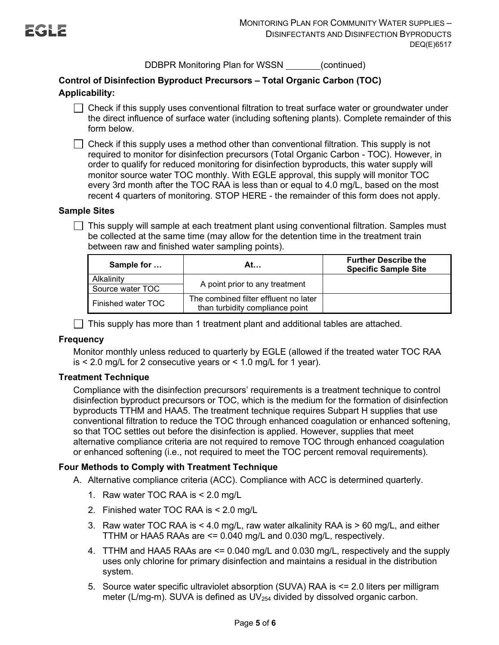DDBPR Monitoring Plan for WSSN (continued)

## **Control of Disinfection Byproduct Precursors – Total Organic Carbon (TOC) Applicability:**

 $\Box$  Check if this supply uses conventional filtration to treat surface water or groundwater under the direct influence of surface water (including softening plants). Complete remainder of this form below.

 $\Box$  Check if this supply uses a method other than conventional filtration. This supply is not required to monitor for disinfection precursors (Total Organic Carbon - TOC). However, in order to qualify for reduced monitoring for disinfection byproducts, this water supply will monitor source water TOC monthly. With EGLE approval, this supply will monitor TOC every 3rd month after the TOC RAA is less than or equal to 4.0 mg/L, based on the most recent 4 quarters of monitoring. STOP HERE - the remainder of this form does not apply.

## **Sample Sites**

 $\Box$  This supply will sample at each treatment plant using conventional filtration. Samples must be collected at the same time (may allow for the detention time in the treatment train between raw and finished water sampling points).

| Sample for                     | At…                                                                      | <b>Further Describe the</b><br><b>Specific Sample Site</b> |
|--------------------------------|--------------------------------------------------------------------------|------------------------------------------------------------|
| Alkalinity<br>Source water TOC | A point prior to any treatment                                           |                                                            |
| Finished water TOC             | The combined filter effluent no later<br>than turbidity compliance point |                                                            |

 $\Box$  This supply has more than 1 treatment plant and additional tables are attached.

## **Frequency**

Monitor monthly unless reduced to quarterly by EGLE (allowed if the treated water TOC RAA is  $\leq$  2.0 mg/L for 2 consecutive years or  $\leq$  1.0 mg/L for 1 year).

## **Treatment Technique**

Compliance with the disinfection precursors' requirements is a treatment technique to control disinfection byproduct precursors or TOC, which is the medium for the formation of disinfection byproducts TTHM and HAA5. The treatment technique requires Subpart H supplies that use conventional filtration to reduce the TOC through enhanced coagulation or enhanced softening, so that TOC settles out before the disinfection is applied. However, supplies that meet alternative compliance criteria are not required to remove TOC through enhanced coagulation or enhanced softening (i.e., not required to meet the TOC percent removal requirements).

## **Four Methods to Comply with Treatment Technique**

- A. Alternative compliance criteria (ACC). Compliance with ACC is determined quarterly.
	- 1. Raw water TOC RAA is < 2.0 mg/L
	- 2. Finished water TOC RAA is < 2.0 mg/L
	- 3. Raw water TOC RAA is  $\leq 4.0$  mg/L, raw water alkalinity RAA is  $> 60$  mg/L, and either TTHM or HAA5 RAAs are <= 0.040 mg/L and 0.030 mg/L, respectively.
	- 4. TTHM and HAA5 RAAs are <= 0.040 mg/L and 0.030 mg/L, respectively and the supply uses only chlorine for primary disinfection and maintains a residual in the distribution system.
	- 5. Source water specific ultraviolet absorption (SUVA) RAA is <= 2.0 liters per milligram meter (L/mg-m). SUVA is defined as  $UV_{254}$  divided by dissolved organic carbon.